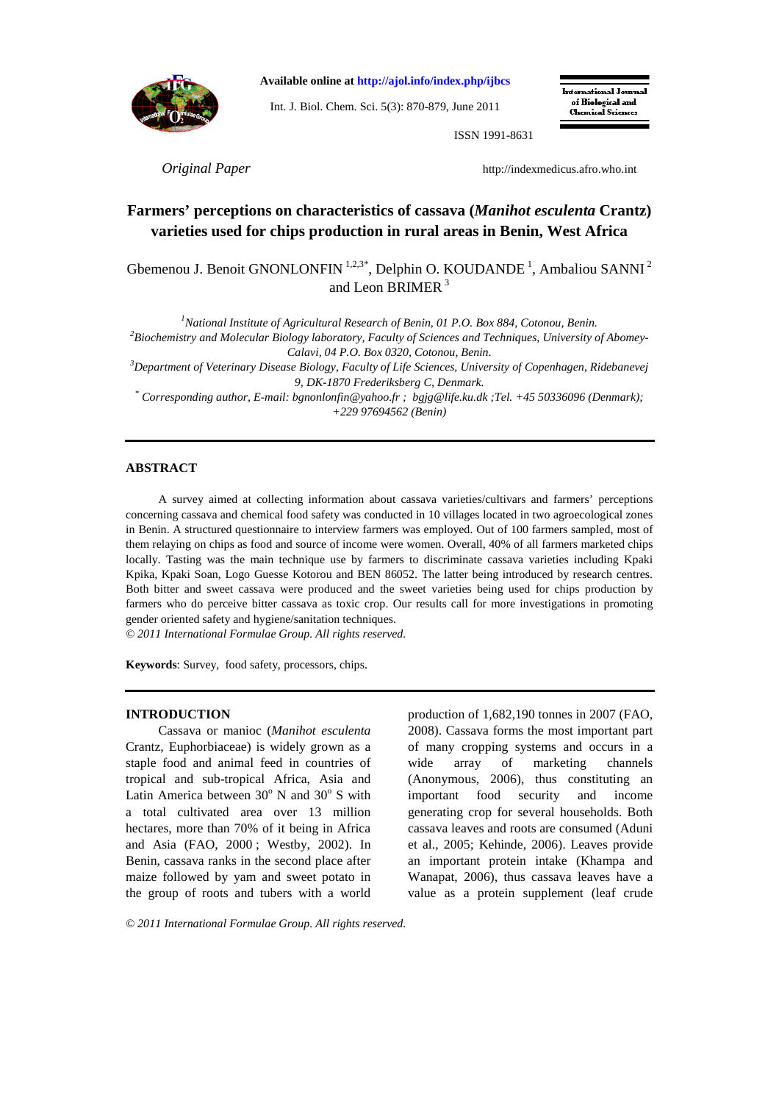

**Available online at http://ajol.info/index.php/ijbcs**

Int. J. Biol. Chem. Sci. 5(3): 870-879, June 2011

International Journal of Biological and **Chamical Sciences** 

ISSN 1991-8631

*<i>Original Paper* **http://indexmedicus.afro.who.int** 

# **Farmers' perceptions on characteristics of cassava (***Manihot esculenta* **Crantz) varieties used for chips production in rural areas in Benin, West Africa**

Gbemenou J. Benoit GNONLONFIN<sup>1,2,3\*</sup>, Delphin O. KOUDANDE<sup>1</sup>, Ambaliou SANNI<sup>2</sup> and Leon BRIMER<sup>3</sup>

*National Institute of Agricultural Research of Benin, 01 P.O. Box 884, Cotonou, Benin. Biochemistry and Molecular Biology laboratory, Faculty of Sciences and Techniques, University of Abomey-Calavi, 04 P.O. Box 0320, Cotonou, Benin. Department of Veterinary Disease Biology, Faculty of Life Sciences, University of Copenhagen, Ridebanevej* 

*9, DK-1870 Frederiksberg C, Denmark.* 

*\* Corresponding author, E-mail: bgnonlonfin@yahoo.fr ; bgjg@life.ku.dk ;Tel. +45 50336096 (Denmark); +229 97694562 (Benin)* 

### **ABSTRACT**

A survey aimed at collecting information about cassava varieties/cultivars and farmers' perceptions concerning cassava and chemical food safety was conducted in 10 villages located in two agroecological zones in Benin. A structured questionnaire to interview farmers was employed. Out of 100 farmers sampled, most of them relaying on chips as food and source of income were women. Overall, 40% of all farmers marketed chips locally. Tasting was the main technique use by farmers to discriminate cassava varieties including Kpaki Kpika, Kpaki Soan, Logo Guesse Kotorou and BEN 86052. The latter being introduced by research centres. Both bitter and sweet cassava were produced and the sweet varieties being used for chips production by farmers who do perceive bitter cassava as toxic crop. Our results call for more investigations in promoting gender oriented safety and hygiene/sanitation techniques.

*© 2011 International Formulae Group. All rights reserved.* 

**Keywords**: Survey, food safety, processors, chips.

### **INTRODUCTION**

Cassava or manioc (*Manihot esculenta* Crantz, Euphorbiaceae) is widely grown as a staple food and animal feed in countries of tropical and sub-tropical Africa, Asia and Latin America between  $30^{\circ}$  N and  $30^{\circ}$  S with a total cultivated area over 13 million hectares, more than 70% of it being in Africa and Asia (FAO, 2000 ; Westby, 2002). In Benin, cassava ranks in the second place after maize followed by yam and sweet potato in the group of roots and tubers with a world

production of 1,682,190 tonnes in 2007 (FAO, 2008). Cassava forms the most important part of many cropping systems and occurs in a wide array of marketing channels (Anonymous, 2006), thus constituting an important food security and income generating crop for several households. Both cassava leaves and roots are consumed (Aduni et al., 2005; Kehinde, 2006). Leaves provide an important protein intake (Khampa and Wanapat, 2006), thus cassava leaves have a value as a protein supplement (leaf crude

*© 2011 International Formulae Group. All rights reserved.*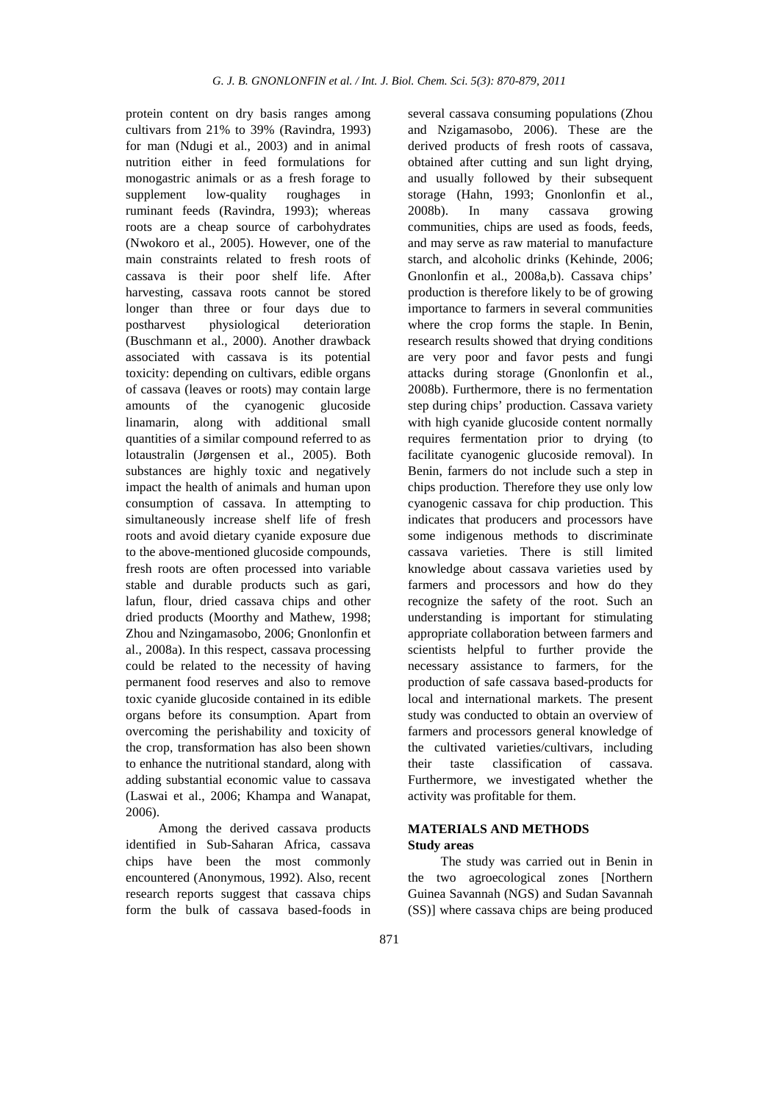protein content on dry basis ranges among cultivars from 21% to 39% (Ravindra, 1993) for man (Ndugi et al., 2003) and in animal nutrition either in feed formulations for monogastric animals or as a fresh forage to supplement low-quality roughages in ruminant feeds (Ravindra, 1993); whereas roots are a cheap source of carbohydrates (Nwokoro et al., 2005). However, one of the main constraints related to fresh roots of cassava is their poor shelf life. After harvesting, cassava roots cannot be stored longer than three or four days due to postharvest physiological deterioration (Buschmann et al., 2000). Another drawback associated with cassava is its potential toxicity: depending on cultivars, edible organs of cassava (leaves or roots) may contain large amounts of the cyanogenic glucoside linamarin, along with additional small quantities of a similar compound referred to as lotaustralin (Jørgensen et al., 2005). Both substances are highly toxic and negatively impact the health of animals and human upon consumption of cassava. In attempting to simultaneously increase shelf life of fresh roots and avoid dietary cyanide exposure due to the above-mentioned glucoside compounds, fresh roots are often processed into variable stable and durable products such as gari, lafun, flour, dried cassava chips and other dried products (Moorthy and Mathew, 1998; Zhou and Nzingamasobo, 2006; Gnonlonfin et al., 2008a). In this respect, cassava processing could be related to the necessity of having permanent food reserves and also to remove toxic cyanide glucoside contained in its edible organs before its consumption. Apart from overcoming the perishability and toxicity of the crop, transformation has also been shown to enhance the nutritional standard, along with adding substantial economic value to cassava (Laswai et al., 2006; Khampa and Wanapat, 2006).

Among the derived cassava products identified in Sub-Saharan Africa, cassava chips have been the most commonly encountered (Anonymous, 1992). Also, recent research reports suggest that cassava chips form the bulk of cassava based-foods in

several cassava consuming populations (Zhou and Nzigamasobo, 2006). These are the derived products of fresh roots of cassava, obtained after cutting and sun light drying, and usually followed by their subsequent storage (Hahn, 1993; Gnonlonfin et al., 2008b). In many cassava growing communities, chips are used as foods, feeds, and may serve as raw material to manufacture starch, and alcoholic drinks (Kehinde, 2006; Gnonlonfin et al., 2008a,b). Cassava chips' production is therefore likely to be of growing importance to farmers in several communities where the crop forms the staple. In Benin, research results showed that drying conditions are very poor and favor pests and fungi attacks during storage (Gnonlonfin et al., 2008b). Furthermore, there is no fermentation step during chips' production. Cassava variety with high cyanide glucoside content normally requires fermentation prior to drying (to facilitate cyanogenic glucoside removal). In Benin, farmers do not include such a step in chips production. Therefore they use only low cyanogenic cassava for chip production. This indicates that producers and processors have some indigenous methods to discriminate cassava varieties. There is still limited knowledge about cassava varieties used by farmers and processors and how do they recognize the safety of the root. Such an understanding is important for stimulating appropriate collaboration between farmers and scientists helpful to further provide the necessary assistance to farmers, for the production of safe cassava based-products for local and international markets. The present study was conducted to obtain an overview of farmers and processors general knowledge of the cultivated varieties/cultivars, including their taste classification of cassava. Furthermore, we investigated whether the activity was profitable for them.

### **MATERIALS AND METHODS Study areas**

The study was carried out in Benin in the two agroecological zones [Northern Guinea Savannah (NGS) and Sudan Savannah (SS)] where cassava chips are being produced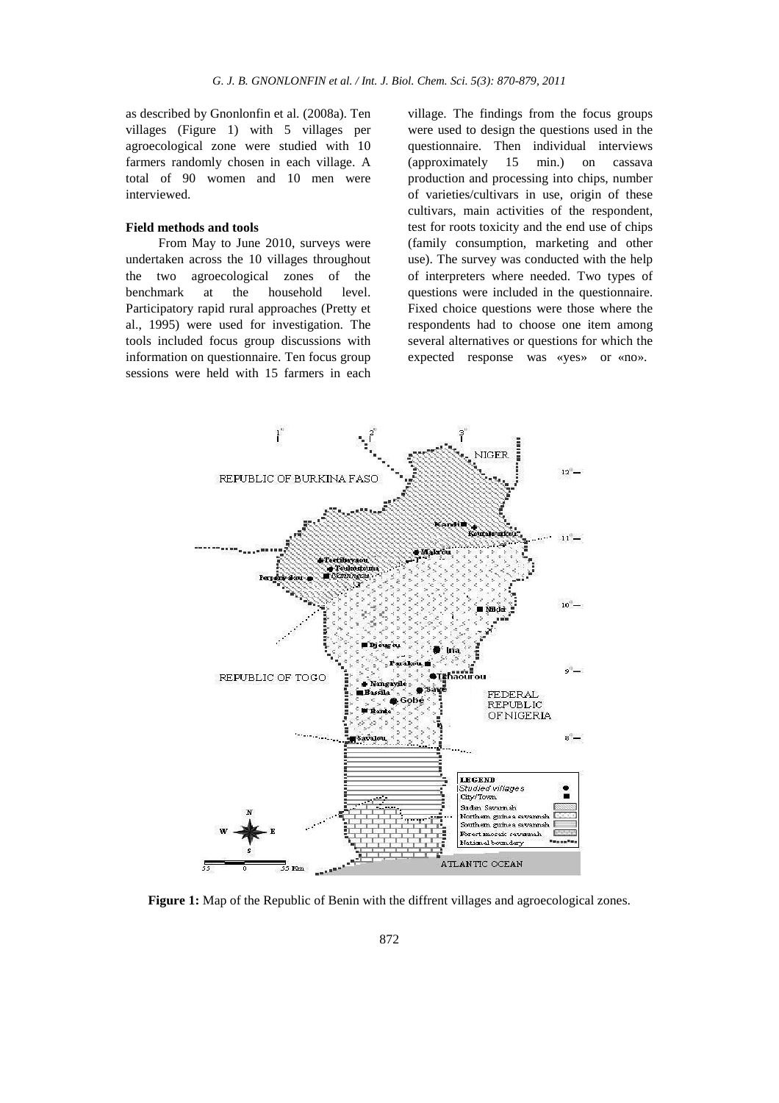as described by Gnonlonfin et al. (2008a). Ten villages (Figure 1) with 5 villages per agroecological zone were studied with 10 farmers randomly chosen in each village. A total of 90 women and 10 men were interviewed.

### **Field methods and tools**

From May to June 2010, surveys were undertaken across the 10 villages throughout the two agroecological zones of the benchmark at the household level. Participatory rapid rural approaches (Pretty et al., 1995) were used for investigation. The tools included focus group discussions with information on questionnaire. Ten focus group sessions were held with 15 farmers in each

village. The findings from the focus groups were used to design the questions used in the questionnaire. Then individual interviews (approximately 15 min.) on cassava production and processing into chips, number of varieties/cultivars in use, origin of these cultivars, main activities of the respondent, test for roots toxicity and the end use of chips (family consumption, marketing and other use). The survey was conducted with the help of interpreters where needed. Two types of questions were included in the questionnaire. Fixed choice questions were those where the respondents had to choose one item among several alternatives or questions for which the expected response was «yes» or «no».



**Figure 1:** Map of the Republic of Benin with the diffrent villages and agroecological zones.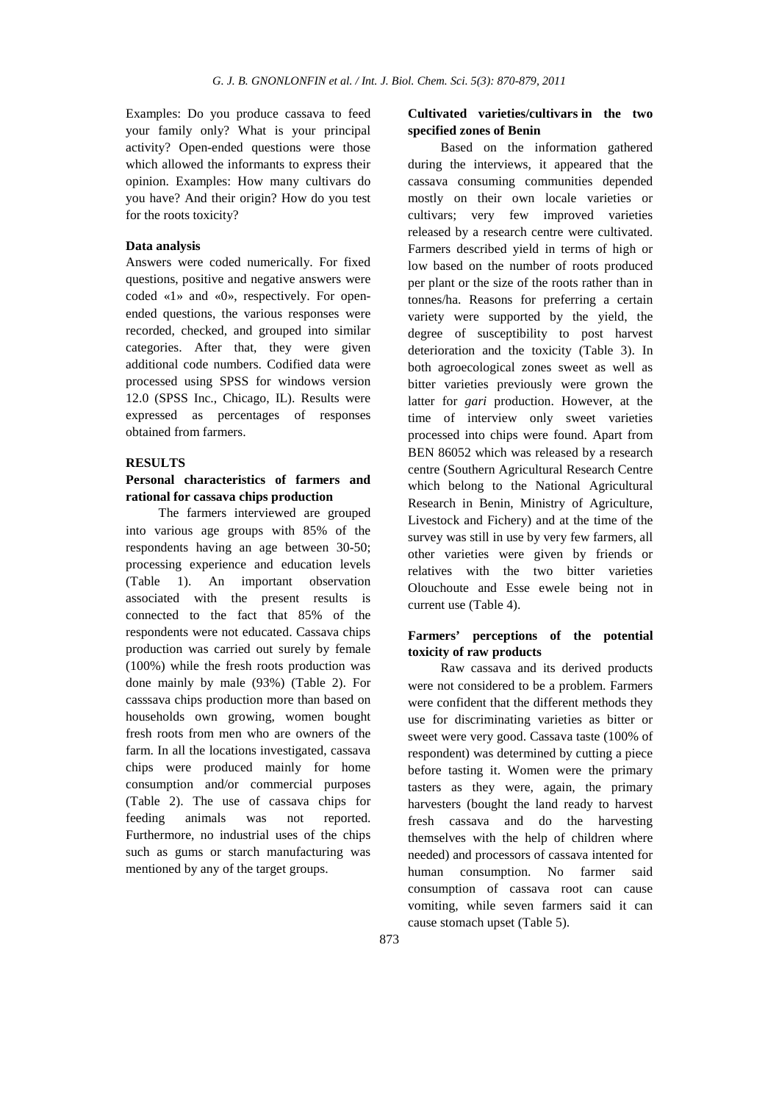Examples: Do you produce cassava to feed your family only? What is your principal activity? Open-ended questions were those which allowed the informants to express their opinion. Examples: How many cultivars do you have? And their origin? How do you test for the roots toxicity?

### **Data analysis**

Answers were coded numerically. For fixed questions, positive and negative answers were coded «1» and «0», respectively. For openended questions, the various responses were recorded, checked, and grouped into similar categories. After that, they were given additional code numbers. Codified data were processed using SPSS for windows version 12.0 (SPSS Inc., Chicago, IL). Results were expressed as percentages of responses obtained from farmers.

### **RESULTS**

## **Personal characteristics of farmers and rational for cassava chips production**

The farmers interviewed are grouped into various age groups with 85% of the respondents having an age between 30-50; processing experience and education levels (Table 1). An important observation associated with the present results is connected to the fact that 85% of the respondents were not educated. Cassava chips production was carried out surely by female (100%) while the fresh roots production was done mainly by male (93%) (Table 2). For casssava chips production more than based on households own growing, women bought fresh roots from men who are owners of the farm. In all the locations investigated, cassava chips were produced mainly for home consumption and/or commercial purposes (Table 2). The use of cassava chips for feeding animals was not reported. Furthermore, no industrial uses of the chips such as gums or starch manufacturing was mentioned by any of the target groups.

### **Cultivated varieties/cultivars in the two specified zones of Benin**

Based on the information gathered during the interviews, it appeared that the cassava consuming communities depended mostly on their own locale varieties or cultivars; very few improved varieties released by a research centre were cultivated. Farmers described yield in terms of high or low based on the number of roots produced per plant or the size of the roots rather than in tonnes/ha. Reasons for preferring a certain variety were supported by the yield, the degree of susceptibility to post harvest deterioration and the toxicity (Table 3). In both agroecological zones sweet as well as bitter varieties previously were grown the latter for *gari* production. However, at the time of interview only sweet varieties processed into chips were found. Apart from BEN 86052 which was released by a research centre (Southern Agricultural Research Centre which belong to the National Agricultural Research in Benin, Ministry of Agriculture, Livestock and Fichery) and at the time of the survey was still in use by very few farmers, all other varieties were given by friends or relatives with the two bitter varieties Olouchoute and Esse ewele being not in current use (Table 4).

## **Farmers' perceptions of the potential toxicity of raw products**

Raw cassava and its derived products were not considered to be a problem. Farmers were confident that the different methods they use for discriminating varieties as bitter or sweet were very good. Cassava taste (100% of respondent) was determined by cutting a piece before tasting it. Women were the primary tasters as they were, again, the primary harvesters (bought the land ready to harvest fresh cassava and do the harvesting themselves with the help of children where needed) and processors of cassava intented for human consumption. No farmer said consumption of cassava root can cause vomiting, while seven farmers said it can cause stomach upset (Table 5).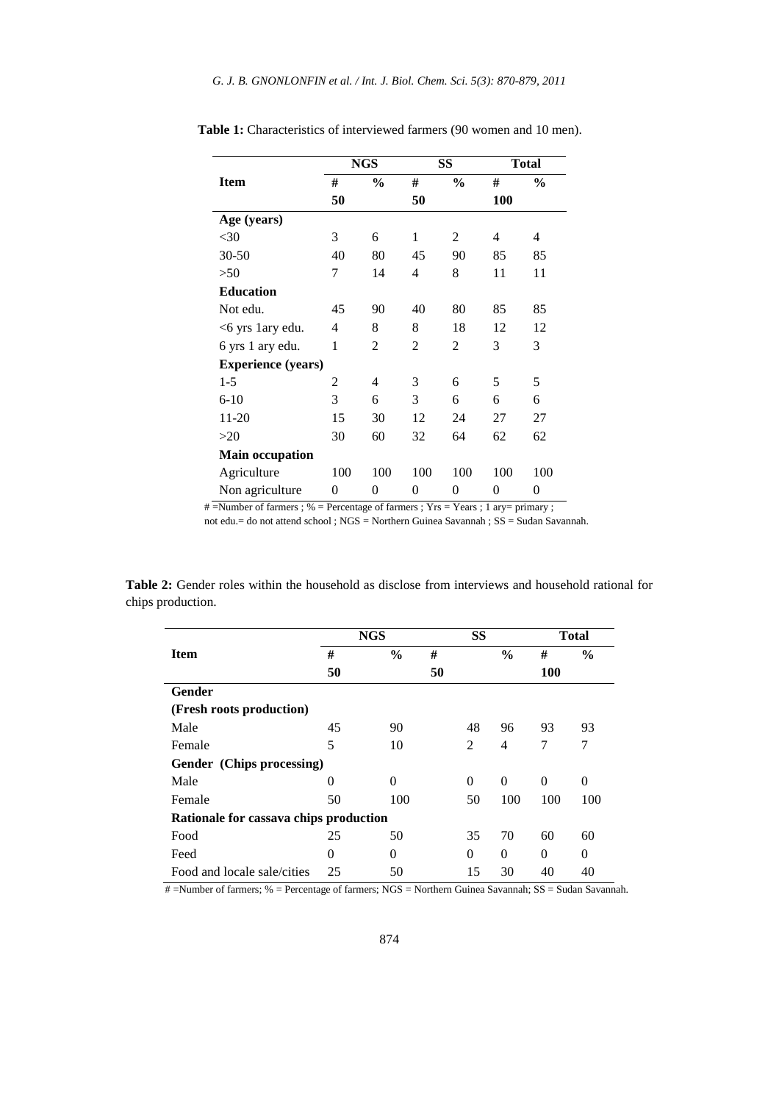|                           |     | <b>NGS</b>    |     | SS            |            | <b>Total</b>  |  |
|---------------------------|-----|---------------|-----|---------------|------------|---------------|--|
| <b>Item</b>               | #   | $\frac{0}{0}$ | #   | $\frac{0}{0}$ | #          | $\frac{6}{6}$ |  |
|                           | 50  |               | 50  |               | <b>100</b> |               |  |
| Age (years)               |     |               |     |               |            |               |  |
| $<$ 30                    | 3   | 6             | 1   | 2             | 4          | 4             |  |
| $30 - 50$                 | 40  | 80            | 45  | 90            | 85         | 85            |  |
| >50                       | 7   | 14            | 4   | 8             | 11         | 11            |  |
| <b>Education</b>          |     |               |     |               |            |               |  |
| Not edu.                  | 45  | 90            | 40  | 80            | 85         | 85            |  |
| <6 yrs 1 ary edu.         | 4   | 8             | 8   | 18            | 12         | 12            |  |
| 6 yrs 1 ary edu.          | 1   | 2             | 2   | 2             | 3          | 3             |  |
| <b>Experience (years)</b> |     |               |     |               |            |               |  |
| $1-5$                     | 2   | 4             | 3   | 6             | 5          | 5             |  |
| $6 - 10$                  | 3   | 6             | 3   | 6             | 6          | 6             |  |
| 11-20                     | 15  | 30            | 12  | 24            | 27         | 27            |  |
| >20                       | 30  | 60            | 32  | 64            | 62         | 62            |  |
| <b>Main occupation</b>    |     |               |     |               |            |               |  |
| Agriculture               | 100 | 100           | 100 | 100           | 100        | 100           |  |
| Non agriculture           | 0   | 0             | 0   | 0             | 0          | 0             |  |

**Table 1:** Characteristics of interviewed farmers (90 women and 10 men).

# =Number of farmers ; % = Percentage of farmers ; Yrs = Years ; 1 ary= primary ;

not edu.= do not attend school ; NGS = Northern Guinea Savannah ; SS = Sudan Savannah.

**Table 2:** Gender roles within the household as disclose from interviews and household rational for chips production.

|                                        | <b>NGS</b> |               | <b>SS</b> |          | <b>Total</b>  |          |               |  |
|----------------------------------------|------------|---------------|-----------|----------|---------------|----------|---------------|--|
| <b>Item</b>                            | #          | $\frac{6}{9}$ | #         |          | $\frac{0}{0}$ | #        | $\frac{6}{9}$ |  |
|                                        | 50         |               | 50        |          |               |          | <b>100</b>    |  |
| Gender                                 |            |               |           |          |               |          |               |  |
| (Fresh roots production)               |            |               |           |          |               |          |               |  |
| Male                                   | 45         | 90            |           | 48       | 96            | 93       | 93            |  |
| Female                                 | 5          | 10            |           | 2        | 4             | 7        | 7             |  |
| Gender (Chips processing)              |            |               |           |          |               |          |               |  |
| Male                                   | 0          | $\Omega$      |           | $\Omega$ | $\Omega$      | $\Omega$ | $\theta$      |  |
| Female                                 | 50         | 100           |           | 50       | 100           | 100      | 100           |  |
| Rationale for cassava chips production |            |               |           |          |               |          |               |  |
| Food                                   | 25         | 50            |           | 35       | 70            | 60       | 60            |  |
| Feed                                   | 0          | $\Omega$      |           | $\theta$ | $\Omega$      | $\theta$ | 0             |  |
| Food and locale sale/cities            | 25         | 50            |           | 15       | 30            | 40       | 40            |  |

# =Number of farmers; % = Percentage of farmers; NGS = Northern Guinea Savannah; SS = Sudan Savannah.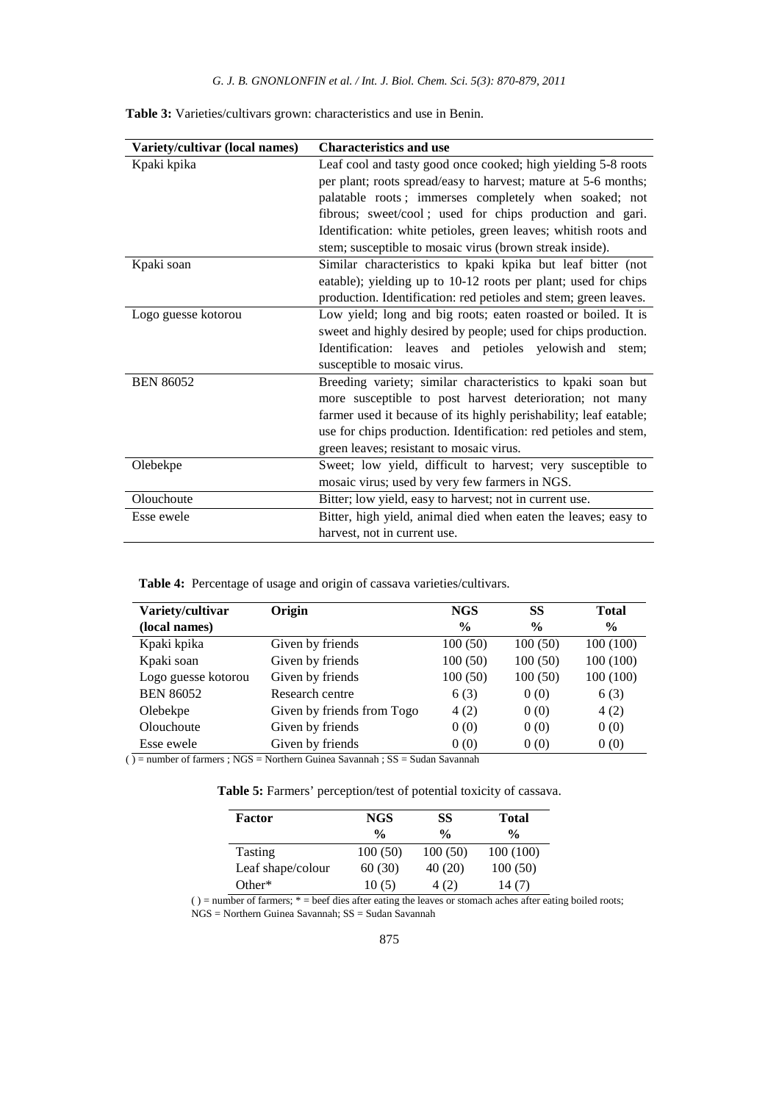| Variety/cultivar (local names) | <b>Characteristics and use</b>                                    |  |  |  |
|--------------------------------|-------------------------------------------------------------------|--|--|--|
| Kpaki kpika                    | Leaf cool and tasty good once cooked; high yielding 5-8 roots     |  |  |  |
|                                | per plant; roots spread/easy to harvest; mature at 5-6 months;    |  |  |  |
|                                | palatable roots; immerses completely when soaked; not             |  |  |  |
|                                | fibrous; sweet/cool; used for chips production and gari.          |  |  |  |
|                                | Identification: white petioles, green leaves; whitish roots and   |  |  |  |
|                                | stem; susceptible to mosaic virus (brown streak inside).          |  |  |  |
| Kpaki soan                     | Similar characteristics to kpaki kpika but leaf bitter (not       |  |  |  |
|                                | eatable); yielding up to 10-12 roots per plant; used for chips    |  |  |  |
|                                | production. Identification: red petioles and stem; green leaves.  |  |  |  |
| Logo guesse kotorou            | Low yield; long and big roots; eaten roasted or boiled. It is     |  |  |  |
|                                | sweet and highly desired by people; used for chips production.    |  |  |  |
|                                | Identification: leaves and petioles yelowish and<br>stem;         |  |  |  |
|                                | susceptible to mosaic virus.                                      |  |  |  |
| <b>BEN 86052</b>               | Breeding variety; similar characteristics to kpaki soan but       |  |  |  |
|                                | more susceptible to post harvest deterioration; not many          |  |  |  |
|                                | farmer used it because of its highly perishability; leaf eatable; |  |  |  |
|                                | use for chips production. Identification: red petioles and stem,  |  |  |  |
|                                | green leaves; resistant to mosaic virus.                          |  |  |  |
| Olebekpe                       | Sweet; low yield, difficult to harvest; very susceptible to       |  |  |  |
|                                | mosaic virus; used by very few farmers in NGS.                    |  |  |  |
| Olouchoute                     | Bitter; low yield, easy to harvest; not in current use.           |  |  |  |
| Esse ewele                     | Bitter, high yield, animal died when eaten the leaves; easy to    |  |  |  |
|                                | harvest, not in current use.                                      |  |  |  |

**Table 3:** Varieties/cultivars grown: characteristics and use in Benin.

**Table 4:** Percentage of usage and origin of cassava varieties/cultivars.

| Variety/cultivar    | Origin                     | NGS           | SS            | <b>Total</b>  |
|---------------------|----------------------------|---------------|---------------|---------------|
| (local names)       |                            | $\frac{6}{9}$ | $\frac{0}{0}$ | $\frac{6}{9}$ |
| Kpaki kpika         | Given by friends           | 100(50)       | 100(50)       | 100(100)      |
| Kpaki soan          | Given by friends           | 100(50)       | 100(50)       | 100(100)      |
| Logo guesse kotorou | Given by friends           | 100(50)       | 100(50)       | 100(100)      |
| <b>BEN 86052</b>    | Research centre            | 6(3)          | 0(0)          | 6(3)          |
| Olebekpe            | Given by friends from Togo | 4(2)          | 0(0)          | 4(2)          |
| Olouchoute          | Given by friends           | 0(0)          | 0(0)          | 0(0)          |
| Esse ewele          | Given by friends           | 0(0)          | 0(0)          | 0(0)          |

 $\overline{O}$  = number of farmers ; NGS = Northern Guinea Savannah ; SS = Sudan Savannah

**Table 5:** Farmers' perception/test of potential toxicity of cassava.

| Factor            | NGS<br>$\frac{0}{0}$ | SS<br>$\frac{0}{0}$ | <b>Total</b><br>$\frac{0}{0}$ |  |
|-------------------|----------------------|---------------------|-------------------------------|--|
| <b>Tasting</b>    | 100(50)              | 100(50)             | 100(100)                      |  |
| Leaf shape/colour | 60(30)               | 40(20)              | 100(50)                       |  |
| Other $*$         | 10(5)                | 4 (2)               | 14(7)                         |  |

 $( )$  = number of farmers;  $*$  = beef dies after eating the leaves or stomach aches after eating boiled roots; NGS = Northern Guinea Savannah; SS = Sudan Savannah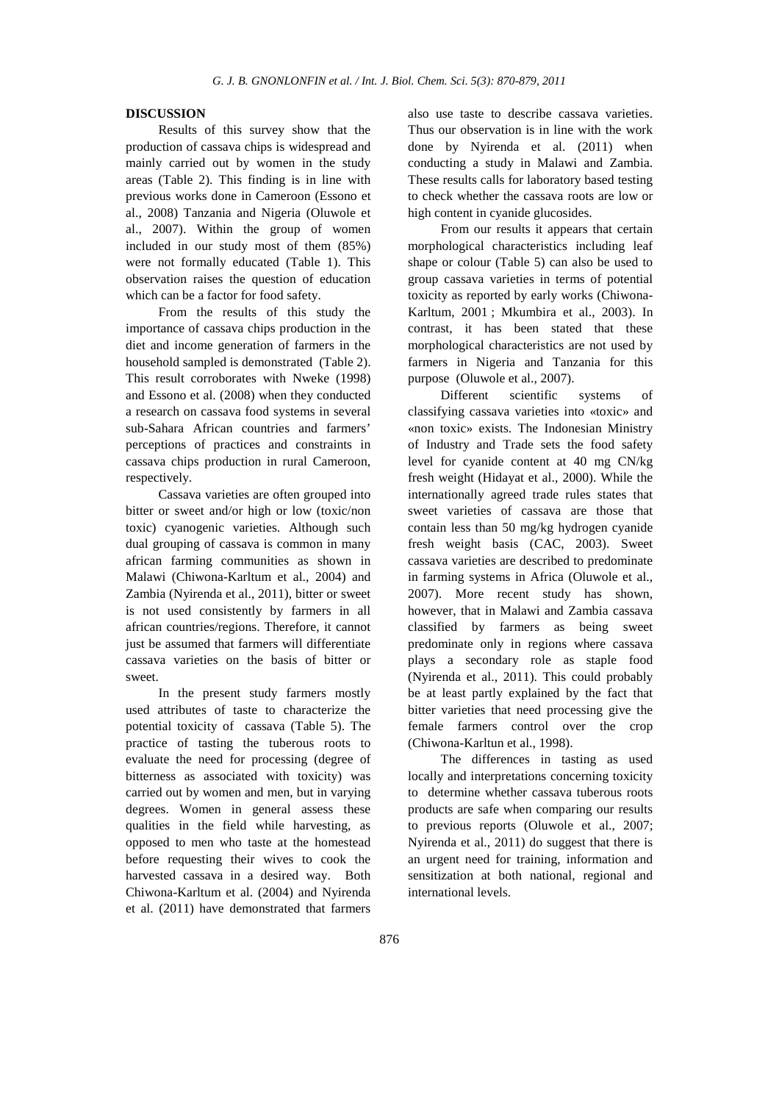### **DISCUSSION**

Results of this survey show that the production of cassava chips is widespread and mainly carried out by women in the study areas (Table 2). This finding is in line with previous works done in Cameroon (Essono et al., 2008) Tanzania and Nigeria (Oluwole et al., 2007). Within the group of women included in our study most of them (85%) were not formally educated (Table 1). This observation raises the question of education which can be a factor for food safety.

From the results of this study the importance of cassava chips production in the diet and income generation of farmers in the household sampled is demonstrated (Table 2). This result corroborates with Nweke (1998) and Essono et al. (2008) when they conducted a research on cassava food systems in several sub-Sahara African countries and farmers' perceptions of practices and constraints in cassava chips production in rural Cameroon, respectively.

Cassava varieties are often grouped into bitter or sweet and/or high or low (toxic/non toxic) cyanogenic varieties. Although such dual grouping of cassava is common in many african farming communities as shown in Malawi (Chiwona-Karltum et al., 2004) and Zambia (Nyirenda et al., 2011), bitter or sweet is not used consistently by farmers in all african countries/regions. Therefore, it cannot just be assumed that farmers will differentiate cassava varieties on the basis of bitter or sweet.

In the present study farmers mostly used attributes of taste to characterize the potential toxicity of cassava (Table 5). The practice of tasting the tuberous roots to evaluate the need for processing (degree of bitterness as associated with toxicity) was carried out by women and men, but in varying degrees. Women in general assess these qualities in the field while harvesting, as opposed to men who taste at the homestead before requesting their wives to cook the harvested cassava in a desired way. Both Chiwona-Karltum et al. (2004) and Nyirenda et al. (2011) have demonstrated that farmers

also use taste to describe cassava varieties. Thus our observation is in line with the work done by Nyirenda et al. (2011) when conducting a study in Malawi and Zambia. These results calls for laboratory based testing to check whether the cassava roots are low or high content in cyanide glucosides.

From our results it appears that certain morphological characteristics including leaf shape or colour (Table 5) can also be used to group cassava varieties in terms of potential toxicity as reported by early works (Chiwona-Karltum, 2001 ; Mkumbira et al., 2003). In contrast, it has been stated that these morphological characteristics are not used by farmers in Nigeria and Tanzania for this purpose (Oluwole et al., 2007).

Different scientific systems of classifying cassava varieties into «toxic» and «non toxic» exists. The Indonesian Ministry of Industry and Trade sets the food safety level for cyanide content at 40 mg CN/kg fresh weight (Hidayat et al., 2000). While the internationally agreed trade rules states that sweet varieties of cassava are those that contain less than 50 mg/kg hydrogen cyanide fresh weight basis (CAC, 2003). Sweet cassava varieties are described to predominate in farming systems in Africa (Oluwole et al., 2007). More recent study has shown, however, that in Malawi and Zambia cassava classified by farmers as being sweet predominate only in regions where cassava plays a secondary role as staple food (Nyirenda et al., 2011). This could probably be at least partly explained by the fact that bitter varieties that need processing give the female farmers control over the crop (Chiwona-Karltun et al., 1998).

The differences in tasting as used locally and interpretations concerning toxicity to determine whether cassava tuberous roots products are safe when comparing our results to previous reports (Oluwole et al., 2007; Nyirenda et al., 2011) do suggest that there is an urgent need for training, information and sensitization at both national, regional and international levels.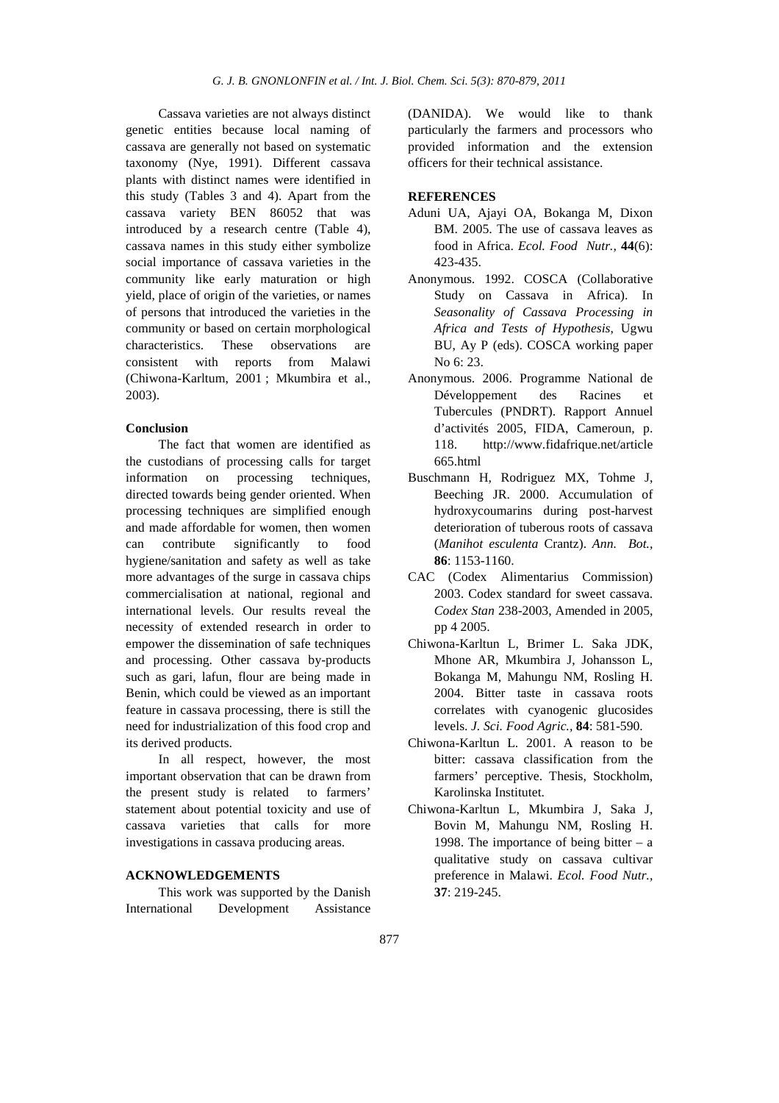Cassava varieties are not always distinct genetic entities because local naming of cassava are generally not based on systematic taxonomy (Nye, 1991). Different cassava plants with distinct names were identified in this study (Tables 3 and 4). Apart from the cassava variety BEN 86052 that was introduced by a research centre (Table 4), cassava names in this study either symbolize social importance of cassava varieties in the community like early maturation or high yield, place of origin of the varieties, or names of persons that introduced the varieties in the community or based on certain morphological characteristics. These observations are consistent with reports from Malawi (Chiwona-Karltum, 2001 ; Mkumbira et al., 2003).

### **Conclusion**

The fact that women are identified as the custodians of processing calls for target information on processing techniques, directed towards being gender oriented. When processing techniques are simplified enough and made affordable for women, then women can contribute significantly to food hygiene/sanitation and safety as well as take more advantages of the surge in cassava chips commercialisation at national, regional and international levels. Our results reveal the necessity of extended research in order to empower the dissemination of safe techniques and processing. Other cassava by-products such as gari, lafun, flour are being made in Benin, which could be viewed as an important feature in cassava processing, there is still the need for industrialization of this food crop and its derived products.

In all respect, however, the most important observation that can be drawn from the present study is related to farmers' statement about potential toxicity and use of cassava varieties that calls for more investigations in cassava producing areas.

### **ACKNOWLEDGEMENTS**

This work was supported by the Danish International Development Assistance (DANIDA). We would like to thank particularly the farmers and processors who provided information and the extension officers for their technical assistance.

### **REFERENCES**

- Aduni UA, Ajayi OA, Bokanga M, Dixon BM. 2005. The use of cassava leaves as food in Africa. *Ecol. Food Nutr.,* **44**(6): 423-435.
- Anonymous. 1992. COSCA (Collaborative Study on Cassava in Africa). In *Seasonality of Cassava Processing in Africa and Tests of Hypothesis*, Ugwu BU, Ay P (eds). COSCA working paper No 6: 23.
- Anonymous. 2006. Programme National de Développement des Racines et Tubercules (PNDRT). Rapport Annuel d'activités 2005, FIDA, Cameroun, p. 118. http://www.fidafrique.net/article 665.html
- Buschmann H, Rodriguez MX, Tohme J, Beeching JR. 2000. Accumulation of hydroxycoumarins during post-harvest deterioration of tuberous roots of cassava (*Manihot esculenta* Crantz). *Ann. Bot.,* **86**: 1153-1160.
- CAC (Codex Alimentarius Commission) 2003. Codex standard for sweet cassava. *Codex Stan* 238-2003, Amended in 2005, pp 4 2005.
- Chiwona-Karltun L, Brimer L. Saka JDK, Mhone AR, Mkumbira J, Johansson L, Bokanga M, Mahungu NM, Rosling H. 2004. Bitter taste in cassava roots correlates with cyanogenic glucosides levels. *J. Sci. Food Agric.,* **84**: 581-590.
- Chiwona-Karltun L. 2001. A reason to be bitter: cassava classification from the farmers' perceptive. Thesis, Stockholm, Karolinska Institutet.
- Chiwona-Karltun L, Mkumbira J, Saka J, Bovin M, Mahungu NM, Rosling H. 1998. The importance of being bitter  $- a$ qualitative study on cassava cultivar preference in Malawi. *Ecol. Food Nutr.,* **37**: 219-245.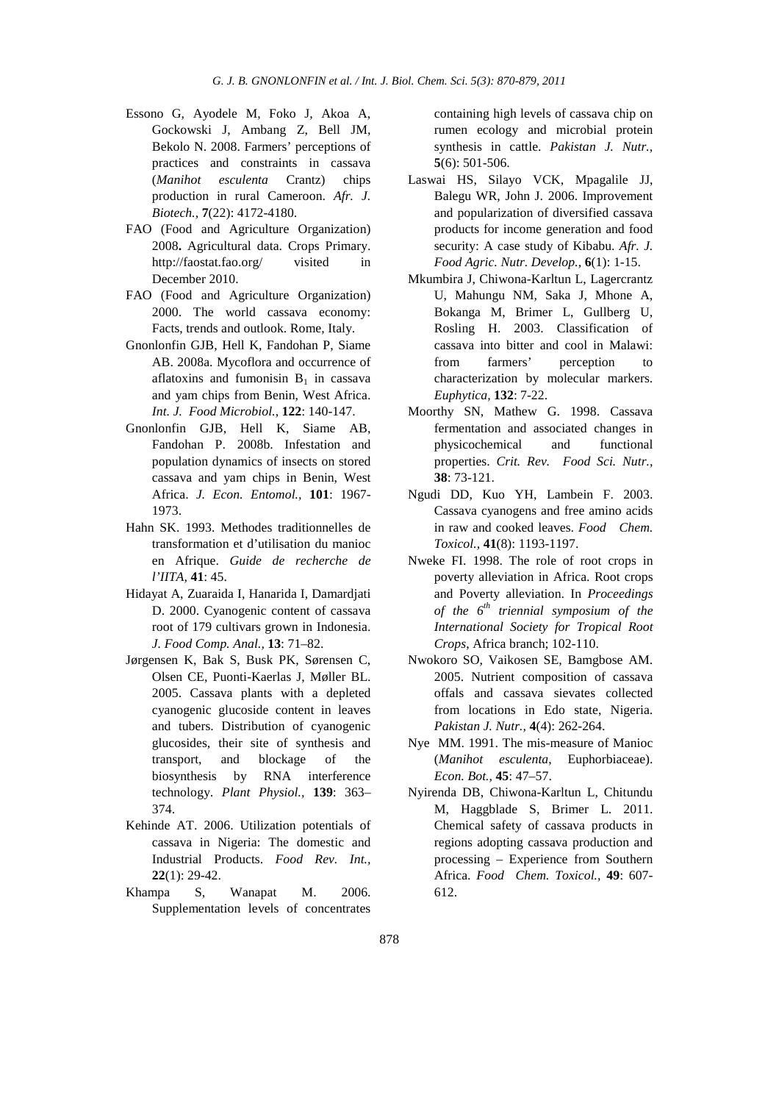- Essono G, Ayodele M, Foko J, Akoa A, Gockowski J, Ambang Z, Bell JM, Bekolo N. 2008. Farmers' perceptions of practices and constraints in cassava (*Manihot esculenta* Crantz) chips production in rural Cameroon. *Afr. J. Biotech.,* **7**(22): 4172-4180.
- FAO (Food and Agriculture Organization) 2008**.** Agricultural data. Crops Primary. http://faostat.fao.org/ visited in December 2010.
- FAO (Food and Agriculture Organization) 2000. The world cassava economy: Facts, trends and outlook. Rome, Italy.
- Gnonlonfin GJB, Hell K, Fandohan P, Siame AB. 2008a. Mycoflora and occurrence of aflatoxins and fumonisin  $B_1$  in cassava and yam chips from Benin, West Africa. *Int. J. Food Microbiol.,* **122**: 140-147.
- Gnonlonfin GJB, Hell K, Siame AB, Fandohan P. 2008b. Infestation and population dynamics of insects on stored cassava and yam chips in Benin, West Africa. *J. Econ. Entomol.,* **101**: 1967- 1973.
- Hahn SK. 1993. Methodes traditionnelles de transformation et d'utilisation du manioc en Afrique. *Guide de recherche de l'IITA,* **41**: 45.
- Hidayat A, Zuaraida I, Hanarida I, Damardjati D. 2000. Cyanogenic content of cassava root of 179 cultivars grown in Indonesia. *J. Food Comp. Anal.,* **13**: 71–82.
- Jørgensen K, Bak S, Busk PK, Sørensen C, Olsen CE, Puonti-Kaerlas J, Møller BL. 2005. Cassava plants with a depleted cyanogenic glucoside content in leaves and tubers. Distribution of cyanogenic glucosides, their site of synthesis and transport, and blockage of the biosynthesis by RNA interference technology. *Plant Physiol.,* **139**: 363– 374.
- Kehinde AT. 2006. Utilization potentials of cassava in Nigeria: The domestic and Industrial Products. *Food Rev. Int.,* **22**(1): 29-42.
- Khampa S, Wanapat M. 2006. Supplementation levels of concentrates

containing high levels of cassava chip on rumen ecology and microbial protein synthesis in cattle. *Pakistan J. Nutr.,* **5**(6): 501-506.

- Laswai HS, Silayo VCK, Mpagalile JJ, Balegu WR, John J. 2006. Improvement and popularization of diversified cassava products for income generation and food security: A case study of Kibabu. *Afr. J. Food Agric. Nutr. Develop.,* **6**(1): 1-15.
- Mkumbira J, Chiwona-Karltun L, Lagercrantz U, Mahungu NM, Saka J, Mhone A, Bokanga M, Brimer L, Gullberg U, Rosling H. 2003. Classification of cassava into bitter and cool in Malawi: from farmers' perception to characterization by molecular markers. *Euphytica,* **132**: 7-22.
- Moorthy SN, Mathew G. 1998. Cassava fermentation and associated changes in physicochemical and functional properties. *Crit. Rev. Food Sci. Nutr.,* **38**: 73-121.
- Ngudi DD, Kuo YH, Lambein F. 2003. Cassava cyanogens and free amino acids in raw and cooked leaves. *Food Chem. Toxicol.,* **41**(8): 1193-1197.
- Nweke FI. 1998. The role of root crops in poverty alleviation in Africa. Root crops and Poverty alleviation. In *Proceedings of the 6th triennial symposium of the International Society for Tropical Root Crops*, Africa branch; 102-110.
- Nwokoro SO, Vaikosen SE, Bamgbose AM. 2005. Nutrient composition of cassava offals and cassava sievates collected from locations in Edo state, Nigeria. *Pakistan J. Nutr.,* **4**(4): 262-264.
- Nye MM. 1991. The mis-measure of Manioc (*Manihot esculenta*, Euphorbiaceae). *Econ. Bot.,* **45**: 47–57.
- Nyirenda DB, Chiwona-Karltun L, Chitundu M, Haggblade S, Brimer L. 2011. Chemical safety of cassava products in regions adopting cassava production and processing – Experience from Southern Africa. *Food Chem. Toxicol.,* **49**: 607- 612.